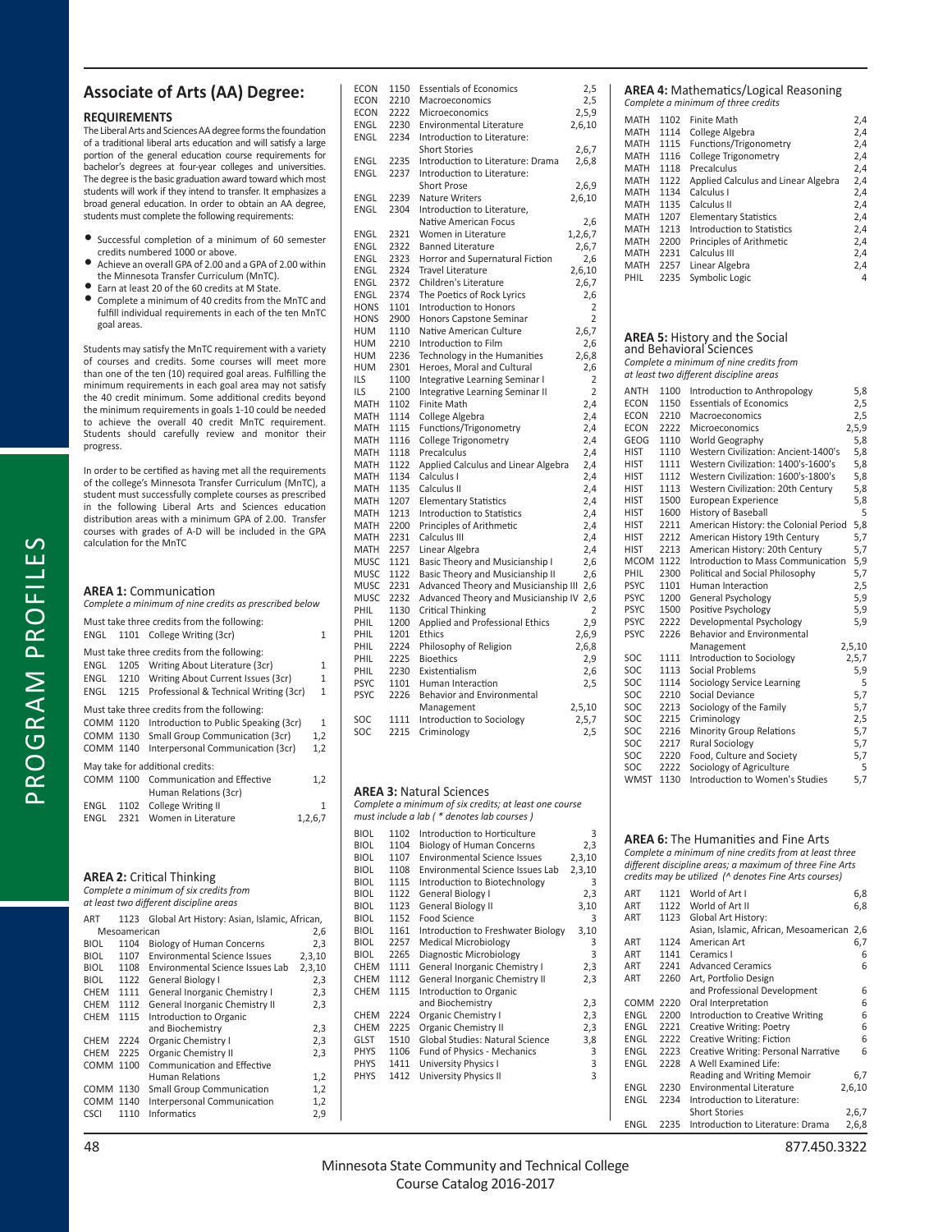## **Associate of Arts (AA) Degree:**

### **REQUIREMENTS**

The Liberal Arts and Sciences AA degree forms the foundation of a traditional liberal arts education and will satisfy a large portion of the general education course requirements for bachelor's degrees at four-year colleges and universities. The degree is the basic graduation award toward which most students will work if they intend to transfer. It emphasizes a broad general education. In order to obtain an AA degree, students must complete the following requirements:

- Successful completion of a minimum of 60 semester credits numbered 1000 or above.
- Achieve an overall GPA of 2.00 and a GPA of 2.00 within the Minnesota Transfer Curriculum (MnTC).
- Earn at least 20 of the 60 credits at M State.
- Complete a minimum of 40 credits from the MnTC and fulfill individual requirements in each of the ten MnTC goal areas.

Students may satisfy the MnTC requirement with a variety of courses and credits. Some courses will meet more than one of the ten (10) required goal areas. Fulfilling the minimum requirements in each goal area may not satisfy the 40 credit minimum. Some additional credits beyond the minimum requirements in goals 1-10 could be needed to achieve the overall 40 credit MnTC requirement. Students should carefully review and monitor their progress.

In order to be certified as having met all the requirements of the college's Minnesota Transfer Curriculum (MnTC), a student must successfully complete courses as prescribed in the following Liberal Arts and Sciences education distribution areas with a minimum GPA of 2.00. Transfer <u>distribution</u> areas with a minimum on or shoot mansion calculation for the MnTC

| <b>AREA 1: Communication</b><br>Complete a minimum of nine credits as prescribed below |              |                                                                                                                                                                         |                     |
|----------------------------------------------------------------------------------------|--------------|-------------------------------------------------------------------------------------------------------------------------------------------------------------------------|---------------------|
| ENGL                                                                                   |              | Must take three credits from the following:<br>1101 College Writing (3cr)                                                                                               | 1                   |
| ENGL<br>ENGL<br>ENGL                                                                   | 1215         | Must take three credits from the following:<br>1205 Writing About Literature (3cr)<br>1210 Writing About Current Issues (3cr)<br>Professional & Technical Writing (3cr) | 1<br>1<br>1         |
| COMM 1120<br>COMM 1130<br>COMM 1140                                                    |              | Must take three credits from the following:<br>Introduction to Public Speaking (3cr)<br>Small Group Communication (3cr)<br>Interpersonal Communication (3cr)            | 1<br>1,2<br>1,2     |
| COMM 1100<br>ENGL<br>ENGL                                                              | 1102<br>2321 | May take for additional credits:<br>Communication and Effective<br>Human Relations (3cr)<br>College Writing II<br>Women in Literature                                   | 1,2<br>1<br>1,2,6,7 |
|                                                                                        |              |                                                                                                                                                                         |                     |

### **AREA 2: Critical Thinking** *Complete a minimum of six credits from*

| at least two different discipline areas |              |                                              |        |  |  |
|-----------------------------------------|--------------|----------------------------------------------|--------|--|--|
| ART                                     | 1123         | Global Art History: Asian, Islamic, African, |        |  |  |
|                                         | Mesoamerican |                                              |        |  |  |
| BIOL                                    | 1104         | <b>Biology of Human Concerns</b>             | 2,3    |  |  |
| <b>BIOL</b>                             | 1107         | <b>Environmental Science Issues</b>          | 2,3,10 |  |  |
| BIOL                                    | 1108         | Environmental Science Issues Lab             | 2,3,10 |  |  |
| <b>BIOL</b>                             | 1122         | General Biology I                            | 2,3    |  |  |
| CHEM                                    | 1111         | General Inorganic Chemistry I                | 2,3    |  |  |
| <b>CHEM</b>                             | 1112         | General Inorganic Chemistry II               | 2,3    |  |  |
| <b>CHEM</b>                             | 1115         | Introduction to Organic                      |        |  |  |
|                                         |              | and Biochemistry                             | 2,3    |  |  |
| <b>CHEM</b>                             | 2224         | <b>Organic Chemistry I</b>                   | 2,3    |  |  |
| <b>CHEM</b>                             | 2225         | <b>Organic Chemistry II</b>                  | 2,3    |  |  |
| COMM                                    | 1100         | Communication and Effective                  |        |  |  |
|                                         |              | Human Relations                              | 1,2    |  |  |
| COMM 1130                               |              | <b>Small Group Communication</b>             | 1,2    |  |  |
| COMM 1140                               |              | Interpersonal Communication                  | 1,2    |  |  |
| CSCI                                    | 1110         | Informatics                                  | 2,9    |  |  |

| 1150<br><b>Essentials of Economics</b><br><b>ECON</b><br>2210<br><b>ECON</b><br>Macroeconomics<br><b>ECON</b><br>2222<br><b>Microeconomics</b><br>ENGL<br>2230<br><b>Environmental Literature</b><br>2234<br>Introduction to Literature:<br>ENGL<br><b>Short Stories</b><br>Introduction to Literature: Drama<br><b>ENGL</b><br>2235<br>ENGL<br>2237<br>Introduction to Literature:<br><b>Short Prose</b><br><b>ENGL</b><br>2239<br><b>Nature Writers</b><br>ENGL<br>2304<br>Introduction to Literature,<br>Native American Focus<br>ENGL<br>2321<br>Women in Literature<br>ENGL<br>2322<br><b>Banned Literature</b><br>Horror and Supernatural Fiction<br>ENGL<br>2323<br>2324<br><b>Travel Literature</b><br>ENGL<br>2372<br>Children's Literature<br>ENGL<br>The Poetics of Rock Lyrics<br>ENGL<br>2374<br>Introduction to Honors<br><b>HONS</b><br>1101<br><b>HONS</b><br>2900<br>Honors Capstone Seminar<br>Native American Culture<br>1110<br>HUM<br>Introduction to Film<br><b>HUM</b><br>2210<br>Technology in the Humanities<br><b>HUM</b><br>2236<br><b>HUM</b><br>2301<br>Heroes, Moral and Cultural<br>Integrative Learning Seminar I<br>ILS<br>1100<br>ILS<br>2100<br>Integrative Learning Seminar II<br><b>Finite Math</b><br><b>MATH</b><br>1102<br><b>MATH</b><br>1114<br>College Algebra<br>MATH<br>1115<br>Functions/Trigonometry<br>MATH<br>1116<br>College Trigonometry<br>MATH<br>1118<br>Precalculus<br>1122<br>Applied Calculus and Linear Algebra<br><b>MATH</b><br>1134<br>Calculus I<br><b>MATH</b><br>MATH<br>1135<br>Calculus II<br>MATH<br>1207<br><b>Elementary Statistics</b><br>Introduction to Statistics<br><b>MATH</b><br>1213<br>Principles of Arithmetic<br>MATH<br>2200<br>2231<br>Calculus III<br><b>MATH</b><br>2257<br>Linear Algebra<br>MATH<br><b>MUSC</b><br>Basic Theory and Musicianship I<br>1121<br>Basic Theory and Musicianship II<br><b>MUSC</b><br>1122<br><b>MUSC</b><br>2231<br>Advanced Theory and Musicianship III<br><b>MUSC</b><br>2232<br>Advanced Theory and Musicianship IV<br>PHIL<br>1130<br>Critical Thinking<br>1200<br>Applied and Professional Ethics<br>PHIL<br>1201<br>PHIL<br>Ethics<br>PHIL<br>2224<br>Philosophy of Religion<br>PHIL<br>2225<br><b>Bioethics</b><br>PHIL<br>2230<br>Existentialism<br><b>PSYC</b><br>1101<br>Human Interaction<br><b>PSYC</b><br>2226<br>Behavior and Environmental<br>Management<br>SOC<br>1111<br>Introduction to Sociology<br>SOC<br>2215<br>Criminology |  |  |                |  |
|---------------------------------------------------------------------------------------------------------------------------------------------------------------------------------------------------------------------------------------------------------------------------------------------------------------------------------------------------------------------------------------------------------------------------------------------------------------------------------------------------------------------------------------------------------------------------------------------------------------------------------------------------------------------------------------------------------------------------------------------------------------------------------------------------------------------------------------------------------------------------------------------------------------------------------------------------------------------------------------------------------------------------------------------------------------------------------------------------------------------------------------------------------------------------------------------------------------------------------------------------------------------------------------------------------------------------------------------------------------------------------------------------------------------------------------------------------------------------------------------------------------------------------------------------------------------------------------------------------------------------------------------------------------------------------------------------------------------------------------------------------------------------------------------------------------------------------------------------------------------------------------------------------------------------------------------------------------------------------------------------------------------------------------------------------------------------------------------------------------------------------------------------------------------------------------------------------------------------------------------------------------------------------------------------------------------------------------------------------------------------------------------------------------------------------------------------------------------|--|--|----------------|--|
|                                                                                                                                                                                                                                                                                                                                                                                                                                                                                                                                                                                                                                                                                                                                                                                                                                                                                                                                                                                                                                                                                                                                                                                                                                                                                                                                                                                                                                                                                                                                                                                                                                                                                                                                                                                                                                                                                                                                                                                                                                                                                                                                                                                                                                                                                                                                                                                                                                                                     |  |  | 2,5            |  |
|                                                                                                                                                                                                                                                                                                                                                                                                                                                                                                                                                                                                                                                                                                                                                                                                                                                                                                                                                                                                                                                                                                                                                                                                                                                                                                                                                                                                                                                                                                                                                                                                                                                                                                                                                                                                                                                                                                                                                                                                                                                                                                                                                                                                                                                                                                                                                                                                                                                                     |  |  | 2,5            |  |
|                                                                                                                                                                                                                                                                                                                                                                                                                                                                                                                                                                                                                                                                                                                                                                                                                                                                                                                                                                                                                                                                                                                                                                                                                                                                                                                                                                                                                                                                                                                                                                                                                                                                                                                                                                                                                                                                                                                                                                                                                                                                                                                                                                                                                                                                                                                                                                                                                                                                     |  |  | 2,5,9          |  |
|                                                                                                                                                                                                                                                                                                                                                                                                                                                                                                                                                                                                                                                                                                                                                                                                                                                                                                                                                                                                                                                                                                                                                                                                                                                                                                                                                                                                                                                                                                                                                                                                                                                                                                                                                                                                                                                                                                                                                                                                                                                                                                                                                                                                                                                                                                                                                                                                                                                                     |  |  | 2,6,10         |  |
|                                                                                                                                                                                                                                                                                                                                                                                                                                                                                                                                                                                                                                                                                                                                                                                                                                                                                                                                                                                                                                                                                                                                                                                                                                                                                                                                                                                                                                                                                                                                                                                                                                                                                                                                                                                                                                                                                                                                                                                                                                                                                                                                                                                                                                                                                                                                                                                                                                                                     |  |  |                |  |
|                                                                                                                                                                                                                                                                                                                                                                                                                                                                                                                                                                                                                                                                                                                                                                                                                                                                                                                                                                                                                                                                                                                                                                                                                                                                                                                                                                                                                                                                                                                                                                                                                                                                                                                                                                                                                                                                                                                                                                                                                                                                                                                                                                                                                                                                                                                                                                                                                                                                     |  |  | 2,6,7          |  |
|                                                                                                                                                                                                                                                                                                                                                                                                                                                                                                                                                                                                                                                                                                                                                                                                                                                                                                                                                                                                                                                                                                                                                                                                                                                                                                                                                                                                                                                                                                                                                                                                                                                                                                                                                                                                                                                                                                                                                                                                                                                                                                                                                                                                                                                                                                                                                                                                                                                                     |  |  | 2,6,8          |  |
|                                                                                                                                                                                                                                                                                                                                                                                                                                                                                                                                                                                                                                                                                                                                                                                                                                                                                                                                                                                                                                                                                                                                                                                                                                                                                                                                                                                                                                                                                                                                                                                                                                                                                                                                                                                                                                                                                                                                                                                                                                                                                                                                                                                                                                                                                                                                                                                                                                                                     |  |  |                |  |
|                                                                                                                                                                                                                                                                                                                                                                                                                                                                                                                                                                                                                                                                                                                                                                                                                                                                                                                                                                                                                                                                                                                                                                                                                                                                                                                                                                                                                                                                                                                                                                                                                                                                                                                                                                                                                                                                                                                                                                                                                                                                                                                                                                                                                                                                                                                                                                                                                                                                     |  |  | 2,6,9          |  |
|                                                                                                                                                                                                                                                                                                                                                                                                                                                                                                                                                                                                                                                                                                                                                                                                                                                                                                                                                                                                                                                                                                                                                                                                                                                                                                                                                                                                                                                                                                                                                                                                                                                                                                                                                                                                                                                                                                                                                                                                                                                                                                                                                                                                                                                                                                                                                                                                                                                                     |  |  | 2,6,10         |  |
|                                                                                                                                                                                                                                                                                                                                                                                                                                                                                                                                                                                                                                                                                                                                                                                                                                                                                                                                                                                                                                                                                                                                                                                                                                                                                                                                                                                                                                                                                                                                                                                                                                                                                                                                                                                                                                                                                                                                                                                                                                                                                                                                                                                                                                                                                                                                                                                                                                                                     |  |  |                |  |
|                                                                                                                                                                                                                                                                                                                                                                                                                                                                                                                                                                                                                                                                                                                                                                                                                                                                                                                                                                                                                                                                                                                                                                                                                                                                                                                                                                                                                                                                                                                                                                                                                                                                                                                                                                                                                                                                                                                                                                                                                                                                                                                                                                                                                                                                                                                                                                                                                                                                     |  |  | 2,6            |  |
|                                                                                                                                                                                                                                                                                                                                                                                                                                                                                                                                                                                                                                                                                                                                                                                                                                                                                                                                                                                                                                                                                                                                                                                                                                                                                                                                                                                                                                                                                                                                                                                                                                                                                                                                                                                                                                                                                                                                                                                                                                                                                                                                                                                                                                                                                                                                                                                                                                                                     |  |  | 1,2,6,7        |  |
|                                                                                                                                                                                                                                                                                                                                                                                                                                                                                                                                                                                                                                                                                                                                                                                                                                                                                                                                                                                                                                                                                                                                                                                                                                                                                                                                                                                                                                                                                                                                                                                                                                                                                                                                                                                                                                                                                                                                                                                                                                                                                                                                                                                                                                                                                                                                                                                                                                                                     |  |  | 2,6,7          |  |
|                                                                                                                                                                                                                                                                                                                                                                                                                                                                                                                                                                                                                                                                                                                                                                                                                                                                                                                                                                                                                                                                                                                                                                                                                                                                                                                                                                                                                                                                                                                                                                                                                                                                                                                                                                                                                                                                                                                                                                                                                                                                                                                                                                                                                                                                                                                                                                                                                                                                     |  |  | 2,6            |  |
|                                                                                                                                                                                                                                                                                                                                                                                                                                                                                                                                                                                                                                                                                                                                                                                                                                                                                                                                                                                                                                                                                                                                                                                                                                                                                                                                                                                                                                                                                                                                                                                                                                                                                                                                                                                                                                                                                                                                                                                                                                                                                                                                                                                                                                                                                                                                                                                                                                                                     |  |  | 2,6,10         |  |
|                                                                                                                                                                                                                                                                                                                                                                                                                                                                                                                                                                                                                                                                                                                                                                                                                                                                                                                                                                                                                                                                                                                                                                                                                                                                                                                                                                                                                                                                                                                                                                                                                                                                                                                                                                                                                                                                                                                                                                                                                                                                                                                                                                                                                                                                                                                                                                                                                                                                     |  |  | 2,6,7          |  |
|                                                                                                                                                                                                                                                                                                                                                                                                                                                                                                                                                                                                                                                                                                                                                                                                                                                                                                                                                                                                                                                                                                                                                                                                                                                                                                                                                                                                                                                                                                                                                                                                                                                                                                                                                                                                                                                                                                                                                                                                                                                                                                                                                                                                                                                                                                                                                                                                                                                                     |  |  | 2,6            |  |
|                                                                                                                                                                                                                                                                                                                                                                                                                                                                                                                                                                                                                                                                                                                                                                                                                                                                                                                                                                                                                                                                                                                                                                                                                                                                                                                                                                                                                                                                                                                                                                                                                                                                                                                                                                                                                                                                                                                                                                                                                                                                                                                                                                                                                                                                                                                                                                                                                                                                     |  |  | $\overline{2}$ |  |
|                                                                                                                                                                                                                                                                                                                                                                                                                                                                                                                                                                                                                                                                                                                                                                                                                                                                                                                                                                                                                                                                                                                                                                                                                                                                                                                                                                                                                                                                                                                                                                                                                                                                                                                                                                                                                                                                                                                                                                                                                                                                                                                                                                                                                                                                                                                                                                                                                                                                     |  |  | $\overline{2}$ |  |
|                                                                                                                                                                                                                                                                                                                                                                                                                                                                                                                                                                                                                                                                                                                                                                                                                                                                                                                                                                                                                                                                                                                                                                                                                                                                                                                                                                                                                                                                                                                                                                                                                                                                                                                                                                                                                                                                                                                                                                                                                                                                                                                                                                                                                                                                                                                                                                                                                                                                     |  |  | 2,6,7          |  |
|                                                                                                                                                                                                                                                                                                                                                                                                                                                                                                                                                                                                                                                                                                                                                                                                                                                                                                                                                                                                                                                                                                                                                                                                                                                                                                                                                                                                                                                                                                                                                                                                                                                                                                                                                                                                                                                                                                                                                                                                                                                                                                                                                                                                                                                                                                                                                                                                                                                                     |  |  | 2,6            |  |
|                                                                                                                                                                                                                                                                                                                                                                                                                                                                                                                                                                                                                                                                                                                                                                                                                                                                                                                                                                                                                                                                                                                                                                                                                                                                                                                                                                                                                                                                                                                                                                                                                                                                                                                                                                                                                                                                                                                                                                                                                                                                                                                                                                                                                                                                                                                                                                                                                                                                     |  |  | 2,6,8          |  |
|                                                                                                                                                                                                                                                                                                                                                                                                                                                                                                                                                                                                                                                                                                                                                                                                                                                                                                                                                                                                                                                                                                                                                                                                                                                                                                                                                                                                                                                                                                                                                                                                                                                                                                                                                                                                                                                                                                                                                                                                                                                                                                                                                                                                                                                                                                                                                                                                                                                                     |  |  | 2,6            |  |
|                                                                                                                                                                                                                                                                                                                                                                                                                                                                                                                                                                                                                                                                                                                                                                                                                                                                                                                                                                                                                                                                                                                                                                                                                                                                                                                                                                                                                                                                                                                                                                                                                                                                                                                                                                                                                                                                                                                                                                                                                                                                                                                                                                                                                                                                                                                                                                                                                                                                     |  |  | 2              |  |
|                                                                                                                                                                                                                                                                                                                                                                                                                                                                                                                                                                                                                                                                                                                                                                                                                                                                                                                                                                                                                                                                                                                                                                                                                                                                                                                                                                                                                                                                                                                                                                                                                                                                                                                                                                                                                                                                                                                                                                                                                                                                                                                                                                                                                                                                                                                                                                                                                                                                     |  |  | $\overline{2}$ |  |
|                                                                                                                                                                                                                                                                                                                                                                                                                                                                                                                                                                                                                                                                                                                                                                                                                                                                                                                                                                                                                                                                                                                                                                                                                                                                                                                                                                                                                                                                                                                                                                                                                                                                                                                                                                                                                                                                                                                                                                                                                                                                                                                                                                                                                                                                                                                                                                                                                                                                     |  |  | 2,4            |  |
|                                                                                                                                                                                                                                                                                                                                                                                                                                                                                                                                                                                                                                                                                                                                                                                                                                                                                                                                                                                                                                                                                                                                                                                                                                                                                                                                                                                                                                                                                                                                                                                                                                                                                                                                                                                                                                                                                                                                                                                                                                                                                                                                                                                                                                                                                                                                                                                                                                                                     |  |  | 2,4            |  |
|                                                                                                                                                                                                                                                                                                                                                                                                                                                                                                                                                                                                                                                                                                                                                                                                                                                                                                                                                                                                                                                                                                                                                                                                                                                                                                                                                                                                                                                                                                                                                                                                                                                                                                                                                                                                                                                                                                                                                                                                                                                                                                                                                                                                                                                                                                                                                                                                                                                                     |  |  | 2,4            |  |
|                                                                                                                                                                                                                                                                                                                                                                                                                                                                                                                                                                                                                                                                                                                                                                                                                                                                                                                                                                                                                                                                                                                                                                                                                                                                                                                                                                                                                                                                                                                                                                                                                                                                                                                                                                                                                                                                                                                                                                                                                                                                                                                                                                                                                                                                                                                                                                                                                                                                     |  |  | 2,4            |  |
|                                                                                                                                                                                                                                                                                                                                                                                                                                                                                                                                                                                                                                                                                                                                                                                                                                                                                                                                                                                                                                                                                                                                                                                                                                                                                                                                                                                                                                                                                                                                                                                                                                                                                                                                                                                                                                                                                                                                                                                                                                                                                                                                                                                                                                                                                                                                                                                                                                                                     |  |  | 2,4            |  |
|                                                                                                                                                                                                                                                                                                                                                                                                                                                                                                                                                                                                                                                                                                                                                                                                                                                                                                                                                                                                                                                                                                                                                                                                                                                                                                                                                                                                                                                                                                                                                                                                                                                                                                                                                                                                                                                                                                                                                                                                                                                                                                                                                                                                                                                                                                                                                                                                                                                                     |  |  | 2,4            |  |
|                                                                                                                                                                                                                                                                                                                                                                                                                                                                                                                                                                                                                                                                                                                                                                                                                                                                                                                                                                                                                                                                                                                                                                                                                                                                                                                                                                                                                                                                                                                                                                                                                                                                                                                                                                                                                                                                                                                                                                                                                                                                                                                                                                                                                                                                                                                                                                                                                                                                     |  |  | 2,4            |  |
|                                                                                                                                                                                                                                                                                                                                                                                                                                                                                                                                                                                                                                                                                                                                                                                                                                                                                                                                                                                                                                                                                                                                                                                                                                                                                                                                                                                                                                                                                                                                                                                                                                                                                                                                                                                                                                                                                                                                                                                                                                                                                                                                                                                                                                                                                                                                                                                                                                                                     |  |  | 2,4            |  |
|                                                                                                                                                                                                                                                                                                                                                                                                                                                                                                                                                                                                                                                                                                                                                                                                                                                                                                                                                                                                                                                                                                                                                                                                                                                                                                                                                                                                                                                                                                                                                                                                                                                                                                                                                                                                                                                                                                                                                                                                                                                                                                                                                                                                                                                                                                                                                                                                                                                                     |  |  | 2,4            |  |
|                                                                                                                                                                                                                                                                                                                                                                                                                                                                                                                                                                                                                                                                                                                                                                                                                                                                                                                                                                                                                                                                                                                                                                                                                                                                                                                                                                                                                                                                                                                                                                                                                                                                                                                                                                                                                                                                                                                                                                                                                                                                                                                                                                                                                                                                                                                                                                                                                                                                     |  |  | 2,4            |  |
|                                                                                                                                                                                                                                                                                                                                                                                                                                                                                                                                                                                                                                                                                                                                                                                                                                                                                                                                                                                                                                                                                                                                                                                                                                                                                                                                                                                                                                                                                                                                                                                                                                                                                                                                                                                                                                                                                                                                                                                                                                                                                                                                                                                                                                                                                                                                                                                                                                                                     |  |  | 2,4            |  |
|                                                                                                                                                                                                                                                                                                                                                                                                                                                                                                                                                                                                                                                                                                                                                                                                                                                                                                                                                                                                                                                                                                                                                                                                                                                                                                                                                                                                                                                                                                                                                                                                                                                                                                                                                                                                                                                                                                                                                                                                                                                                                                                                                                                                                                                                                                                                                                                                                                                                     |  |  | 2,4            |  |
|                                                                                                                                                                                                                                                                                                                                                                                                                                                                                                                                                                                                                                                                                                                                                                                                                                                                                                                                                                                                                                                                                                                                                                                                                                                                                                                                                                                                                                                                                                                                                                                                                                                                                                                                                                                                                                                                                                                                                                                                                                                                                                                                                                                                                                                                                                                                                                                                                                                                     |  |  | 2,4            |  |
|                                                                                                                                                                                                                                                                                                                                                                                                                                                                                                                                                                                                                                                                                                                                                                                                                                                                                                                                                                                                                                                                                                                                                                                                                                                                                                                                                                                                                                                                                                                                                                                                                                                                                                                                                                                                                                                                                                                                                                                                                                                                                                                                                                                                                                                                                                                                                                                                                                                                     |  |  | 2,6            |  |
|                                                                                                                                                                                                                                                                                                                                                                                                                                                                                                                                                                                                                                                                                                                                                                                                                                                                                                                                                                                                                                                                                                                                                                                                                                                                                                                                                                                                                                                                                                                                                                                                                                                                                                                                                                                                                                                                                                                                                                                                                                                                                                                                                                                                                                                                                                                                                                                                                                                                     |  |  | 2,6            |  |
|                                                                                                                                                                                                                                                                                                                                                                                                                                                                                                                                                                                                                                                                                                                                                                                                                                                                                                                                                                                                                                                                                                                                                                                                                                                                                                                                                                                                                                                                                                                                                                                                                                                                                                                                                                                                                                                                                                                                                                                                                                                                                                                                                                                                                                                                                                                                                                                                                                                                     |  |  | 2,6            |  |
|                                                                                                                                                                                                                                                                                                                                                                                                                                                                                                                                                                                                                                                                                                                                                                                                                                                                                                                                                                                                                                                                                                                                                                                                                                                                                                                                                                                                                                                                                                                                                                                                                                                                                                                                                                                                                                                                                                                                                                                                                                                                                                                                                                                                                                                                                                                                                                                                                                                                     |  |  | 2,6            |  |
|                                                                                                                                                                                                                                                                                                                                                                                                                                                                                                                                                                                                                                                                                                                                                                                                                                                                                                                                                                                                                                                                                                                                                                                                                                                                                                                                                                                                                                                                                                                                                                                                                                                                                                                                                                                                                                                                                                                                                                                                                                                                                                                                                                                                                                                                                                                                                                                                                                                                     |  |  | 2              |  |
|                                                                                                                                                                                                                                                                                                                                                                                                                                                                                                                                                                                                                                                                                                                                                                                                                                                                                                                                                                                                                                                                                                                                                                                                                                                                                                                                                                                                                                                                                                                                                                                                                                                                                                                                                                                                                                                                                                                                                                                                                                                                                                                                                                                                                                                                                                                                                                                                                                                                     |  |  | 2,9            |  |
|                                                                                                                                                                                                                                                                                                                                                                                                                                                                                                                                                                                                                                                                                                                                                                                                                                                                                                                                                                                                                                                                                                                                                                                                                                                                                                                                                                                                                                                                                                                                                                                                                                                                                                                                                                                                                                                                                                                                                                                                                                                                                                                                                                                                                                                                                                                                                                                                                                                                     |  |  | 2,6,9          |  |
|                                                                                                                                                                                                                                                                                                                                                                                                                                                                                                                                                                                                                                                                                                                                                                                                                                                                                                                                                                                                                                                                                                                                                                                                                                                                                                                                                                                                                                                                                                                                                                                                                                                                                                                                                                                                                                                                                                                                                                                                                                                                                                                                                                                                                                                                                                                                                                                                                                                                     |  |  | 2,6,8          |  |
|                                                                                                                                                                                                                                                                                                                                                                                                                                                                                                                                                                                                                                                                                                                                                                                                                                                                                                                                                                                                                                                                                                                                                                                                                                                                                                                                                                                                                                                                                                                                                                                                                                                                                                                                                                                                                                                                                                                                                                                                                                                                                                                                                                                                                                                                                                                                                                                                                                                                     |  |  | 2,9            |  |
|                                                                                                                                                                                                                                                                                                                                                                                                                                                                                                                                                                                                                                                                                                                                                                                                                                                                                                                                                                                                                                                                                                                                                                                                                                                                                                                                                                                                                                                                                                                                                                                                                                                                                                                                                                                                                                                                                                                                                                                                                                                                                                                                                                                                                                                                                                                                                                                                                                                                     |  |  | 2,6            |  |
|                                                                                                                                                                                                                                                                                                                                                                                                                                                                                                                                                                                                                                                                                                                                                                                                                                                                                                                                                                                                                                                                                                                                                                                                                                                                                                                                                                                                                                                                                                                                                                                                                                                                                                                                                                                                                                                                                                                                                                                                                                                                                                                                                                                                                                                                                                                                                                                                                                                                     |  |  | 2,5            |  |
|                                                                                                                                                                                                                                                                                                                                                                                                                                                                                                                                                                                                                                                                                                                                                                                                                                                                                                                                                                                                                                                                                                                                                                                                                                                                                                                                                                                                                                                                                                                                                                                                                                                                                                                                                                                                                                                                                                                                                                                                                                                                                                                                                                                                                                                                                                                                                                                                                                                                     |  |  |                |  |
|                                                                                                                                                                                                                                                                                                                                                                                                                                                                                                                                                                                                                                                                                                                                                                                                                                                                                                                                                                                                                                                                                                                                                                                                                                                                                                                                                                                                                                                                                                                                                                                                                                                                                                                                                                                                                                                                                                                                                                                                                                                                                                                                                                                                                                                                                                                                                                                                                                                                     |  |  | 2,5,10         |  |
|                                                                                                                                                                                                                                                                                                                                                                                                                                                                                                                                                                                                                                                                                                                                                                                                                                                                                                                                                                                                                                                                                                                                                                                                                                                                                                                                                                                                                                                                                                                                                                                                                                                                                                                                                                                                                                                                                                                                                                                                                                                                                                                                                                                                                                                                                                                                                                                                                                                                     |  |  | 2, 5, 7        |  |
|                                                                                                                                                                                                                                                                                                                                                                                                                                                                                                                                                                                                                                                                                                                                                                                                                                                                                                                                                                                                                                                                                                                                                                                                                                                                                                                                                                                                                                                                                                                                                                                                                                                                                                                                                                                                                                                                                                                                                                                                                                                                                                                                                                                                                                                                                                                                                                                                                                                                     |  |  | 2,5            |  |
|                                                                                                                                                                                                                                                                                                                                                                                                                                                                                                                                                                                                                                                                                                                                                                                                                                                                                                                                                                                                                                                                                                                                                                                                                                                                                                                                                                                                                                                                                                                                                                                                                                                                                                                                                                                                                                                                                                                                                                                                                                                                                                                                                                                                                                                                                                                                                                                                                                                                     |  |  |                |  |

### **AREA 3: Natural Sciences**

Complete a minimum of six credits; at least one course *must include a lab* (\* *denotes lab courses*)

| <b>BIOL</b> | 1102 | Introduction to Horticulture        | 3      |
|-------------|------|-------------------------------------|--------|
| <b>BIOL</b> | 1104 | <b>Biology of Human Concerns</b>    | 2,3    |
| <b>BIOL</b> | 1107 | <b>Environmental Science Issues</b> | 2,3,10 |
| <b>BIOL</b> | 1108 | Environmental Science Issues Lab    | 2,3,10 |
| <b>BIOL</b> | 1115 | Introduction to Biotechnology       | 3      |
| <b>BIOL</b> | 1122 | General Biology I                   | 2,3    |
| <b>BIOL</b> | 1123 | <b>General Biology II</b>           | 3,10   |
| <b>BIOL</b> | 1152 | Food Science                        | 3      |
| <b>BIOL</b> | 1161 | Introduction to Freshwater Biology  | 3,10   |
| <b>BIOL</b> | 2257 | <b>Medical Microbiology</b>         | 3      |
| <b>BIOL</b> | 2265 | Diagnostic Microbiology             | 3      |
| <b>CHEM</b> | 1111 | General Inorganic Chemistry I       | 2,3    |
| <b>CHEM</b> | 1112 | General Inorganic Chemistry II      | 2,3    |
| <b>CHEM</b> | 1115 | Introduction to Organic             |        |
|             |      | and Biochemistry                    | 2,3    |
| <b>CHEM</b> | 2224 | Organic Chemistry I                 | 2,3    |
| <b>CHEM</b> | 2225 | <b>Organic Chemistry II</b>         | 2,3    |
| GLST        | 1510 | Global Studies: Natural Science     | 3,8    |
| <b>PHYS</b> | 1106 | Fund of Physics - Mechanics         | 3      |
| <b>PHYS</b> | 1411 | University Physics I                | 3      |
| <b>PHYS</b> | 1412 | University Physics II               | 3      |
|             |      |                                     |        |
|             |      |                                     |        |
|             |      |                                     |        |

#### **AREA 4: Mathematics/Logical Reasoning zhoù ar indiadenna af theorie**

|             |      | complete a minimum of three creates |     |
|-------------|------|-------------------------------------|-----|
| <b>MATH</b> | 1102 | <b>Finite Math</b>                  | 2,4 |
| <b>MATH</b> | 1114 | College Algebra                     | 2,4 |
| <b>MATH</b> | 1115 | Functions/Trigonometry              | 2,4 |
| <b>MATH</b> | 1116 | College Trigonometry                | 2,4 |
| <b>MATH</b> | 1118 | Precalculus                         | 2,4 |
| <b>MATH</b> | 1122 | Applied Calculus and Linear Algebra | 2,4 |
| <b>MATH</b> | 1134 | Calculus I                          | 2,4 |
| <b>MATH</b> | 1135 | Calculus II                         | 2,4 |
| <b>MATH</b> | 1207 | <b>Elementary Statistics</b>        | 2,4 |
| <b>MATH</b> | 1213 | Introduction to Statistics          | 2,4 |
| <b>MATH</b> | 2200 | Principles of Arithmetic            | 2,4 |
| <b>MATH</b> | 2231 | Calculus III                        | 2,4 |
| <b>MATH</b> | 2257 | Linear Algebra                      | 2,4 |
| PHIL        | 2235 | Symbolic Logic                      | 4   |
|             |      |                                     |     |

# **AREA 5:** History and the Social<br>and Behavioral Sciences

*Complete a minimum of nine credits from*  $at$  least two different discipline areas

| ANTH        | 1100 | Introduction to Anthropology          | 5,8     |
|-------------|------|---------------------------------------|---------|
| <b>ECON</b> | 1150 | <b>Essentials of Economics</b>        | 2,5     |
| <b>ECON</b> | 2210 | Macroeconomics                        | 2,5     |
| <b>ECON</b> | 2222 | <b>Microeconomics</b>                 | 2,5,9   |
| GEOG        | 1110 | World Geography                       | 5,8     |
| <b>HIST</b> | 1110 | Western Civilization: Ancient-1400's  | 5,8     |
| <b>HIST</b> | 1111 | Western Civilization: 1400's-1600's   | 5,8     |
| <b>HIST</b> | 1112 | Western Civilization: 1600's-1800's   | 5,8     |
| <b>HIST</b> | 1113 | Western Civilization: 20th Century    | 5,8     |
| <b>HIST</b> | 1500 | European Experience                   | 5,8     |
| <b>HIST</b> | 1600 | History of Baseball                   | 5       |
| <b>HIST</b> | 2211 | American History: the Colonial Period | 5,8     |
| <b>HIST</b> | 2212 | American History 19th Century         | 5,7     |
| <b>HIST</b> | 2213 | American History: 20th Century        | 5,7     |
| <b>MCOM</b> | 1122 | Introduction to Mass Communication    | 5,9     |
| PHIL        | 2300 | Political and Social Philosophy       | 5,7     |
| <b>PSYC</b> | 1101 | Human Interaction                     | 2,5     |
| <b>PSYC</b> | 1200 | General Psychology                    | 5,9     |
| <b>PSYC</b> | 1500 | Positive Psychology                   | 5,9     |
| <b>PSYC</b> | 2222 | Developmental Psychology              | 5,9     |
| <b>PSYC</b> | 2226 | <b>Behavior and Environmental</b>     |         |
|             |      | Management                            | 2,5,10  |
| SOC         | 1111 | Introduction to Sociology             | 2, 5, 7 |
| SOC         | 1113 | Social Problems                       | 5,9     |
| SOC         | 1114 | Sociology Service Learning            | 5       |
| SOC         | 2210 | Social Deviance                       | 5,7     |
| SOC         | 2213 | Sociology of the Family               | 5,7     |
| SOC         | 2215 | Criminology                           | 2,5     |
| SOC         | 2216 | <b>Minority Group Relations</b>       | 5,7     |
| SOC         | 2217 | <b>Rural Sociology</b>                | 5,7     |
| SOC         | 2220 | Food, Culture and Society             | 5,7     |
| SOC         | 2222 | Sociology of Agriculture              | 5       |
| <b>WMST</b> | 1130 | Introduction to Women's Studies       | 5,7     |

## **AREA 6:** The Humanities and Fine Arts

Complete a minimum of nine credits from at least three different discipline areas; a maximum of three Fine Arts credits may be utilized ( $\land$  denotes Fine Arts courses)

| ART         | 1121 | World of Art I                        | 6,8    |
|-------------|------|---------------------------------------|--------|
| ART         | 1122 | World of Art II                       | 6,8    |
| ART         | 1123 | Global Art History:                   |        |
|             |      | Asian, Islamic, African, Mesoamerican | 2,6    |
| ART         | 1124 | American Art                          | 6,7    |
| ART         | 1141 | Ceramics I                            | 6      |
| ART         | 2241 | <b>Advanced Ceramics</b>              | 6      |
| ART         | 2260 | Art, Portfolio Design                 |        |
|             |      | and Professional Development          | 6      |
| COMM        | 2220 | Oral Interpretation                   | 6      |
| <b>ENGL</b> | 2200 | Introduction to Creative Writing      | 6      |
| <b>ENGL</b> | 2221 | Creative Writing: Poetry              | 6      |
| ENGL        | 2222 | Creative Writing: Fiction             | 6      |
| ENGL        | 2223 | Creative Writing: Personal Narrative  | 6      |
| ENGL        | 2228 | A Well Examined Life:                 |        |
|             |      | <b>Reading and Writing Memoir</b>     | 6,7    |
| <b>ENGL</b> | 2230 | <b>Environmental Literature</b>       | 2,6,10 |
| <b>ENGL</b> | 2234 | Introduction to Literature:           |        |
|             |      | <b>Short Stories</b>                  | 2,6,7  |
| ENGL        | 2235 | Introduction to Literature: Drama     | 2,6,8  |
|             |      |                                       |        |

PROGRAM PROFILES

PROGRAM PROFILES